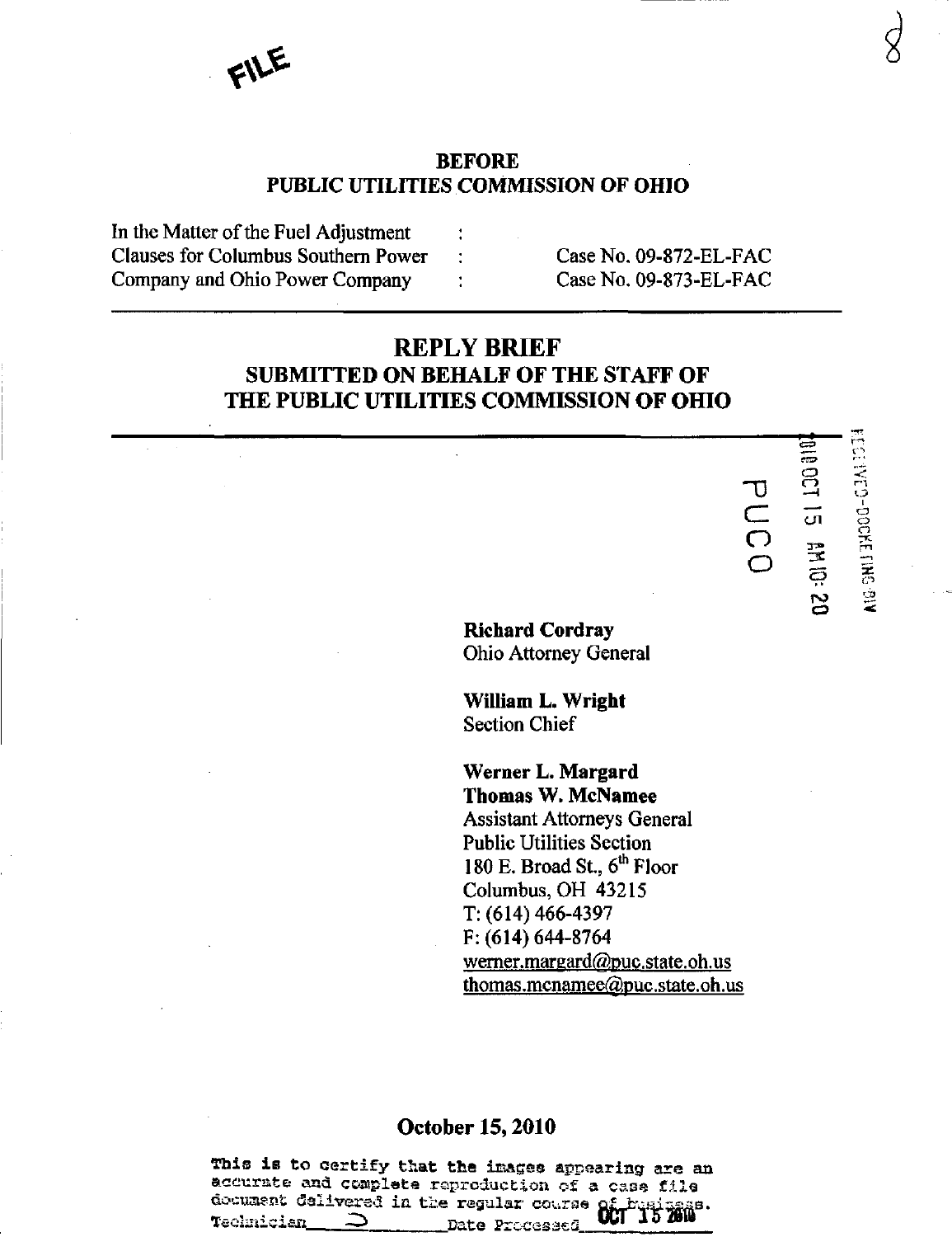# BEFORE PUBLIC UTILITIES COMMISSION OF OHIO

| In the Matter of the Fuel Adjustment |                        |
|--------------------------------------|------------------------|
| Clauses for Columbus Southern Power  | Case No. 09-872-EL-FAC |
| Company and Ohio Power Company       | Case No. 09-873-EL-FAC |

# REPLY BRIEF SUBMITTED ON BEHALF OF THE STAFF OF THE PUBLIC UTILITIES COMMISSION OF OHIO

Richard Cordray Ohio Attorney General  $\sigma$  $\subset$  $\bigcirc$ o  $\frac{\varpi}{\varpi}$  $\subset$ —1  $\mathsf{u}$  r - 131<br>K<br>131<br>K<br>131

 $\overline{\Xi}$ 

r-n — 1

ca  $\leq$ 

 $\frac{12}{3}$ <u>ت</u>  $\mathbb{S}$ 

William L. Wright Section Chief

Werner L. Margard Thomas W. McNamee Assistant Attorneys General Public Utilities Section 180 E. Broad St., 6<sup>th</sup> Floor Columbus, OH 43215 T: (614) 466-4397 F: (614) 644-8764 werner.margard@puc.state.oh.us thomas.mcnamee@puc.state.oh.us

# October 15,2010

This is to certify that the images appearing are an accurate and complete reproduction of a case file document delivered in the regular course of busingss. Technician  $\supset$  Date Processed Will 10 2010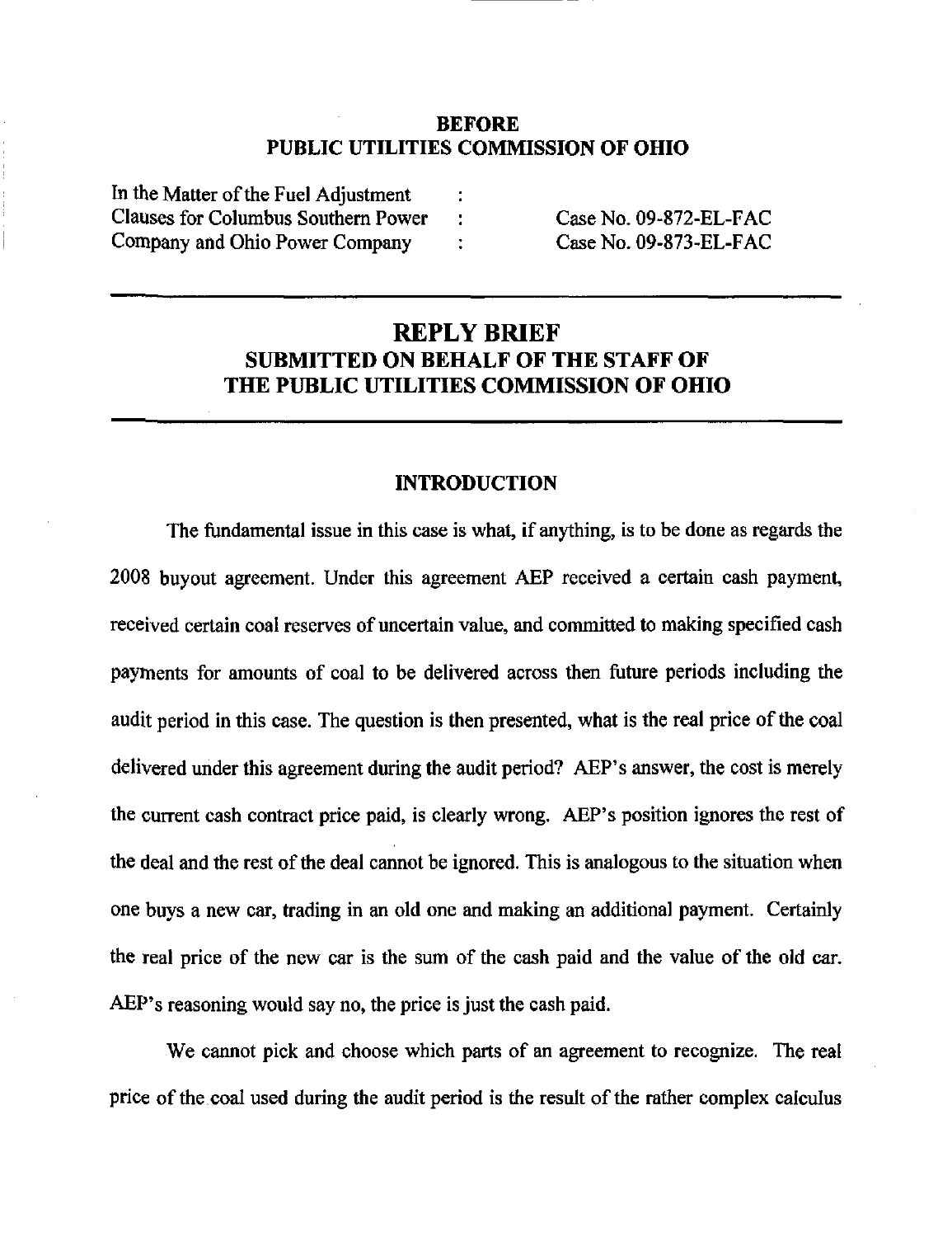## BEFORE PUBLIC UTILITIES COMMISSION OF OHIO

In the Matter of the Fuel Adjustment Clauses for Columbus Southern Power Company and Ohio Power Company

Case No. 09-872-EL-FAC CaseNo.09-873-EL-FAC

# REPLY BRIEF SUBMITTED ON BEHALF OF THE STAFF OF THE PUBLIC UTILITIES COMMISSION OF OHIO

÷

#### INTRODUCTION

The fundamental issue in this case is what, if anything, is to be done as regards the 2008 buyout agreement. Under this agreement AEP received a certain cash payment, received certain coal reserves of uncertain value, and committed to making specified cash payments for amounts of coal to be delivered across then future periods including the audit period in this case. The question is then presented, what is the real price of the coal delivered under this agreement during the audit period? AEP's answer, the cost is merely the current cash contract price paid, is clearly wrong. AEP's position ignores the rest of the deal and the rest of the deal cannot be ignored. This is analogous to the situation when one buys a new car, trading in an old one and making an additional payment. Certainly the real price of the new car is the sum of the cash paid and the value of the old car. AEP's reasoning would say no, the price is just the cash paid.

We cannot pick and choose which parts of an agreement to recognize. The real price of the coal used during the audit period is the result of the rather complex calculus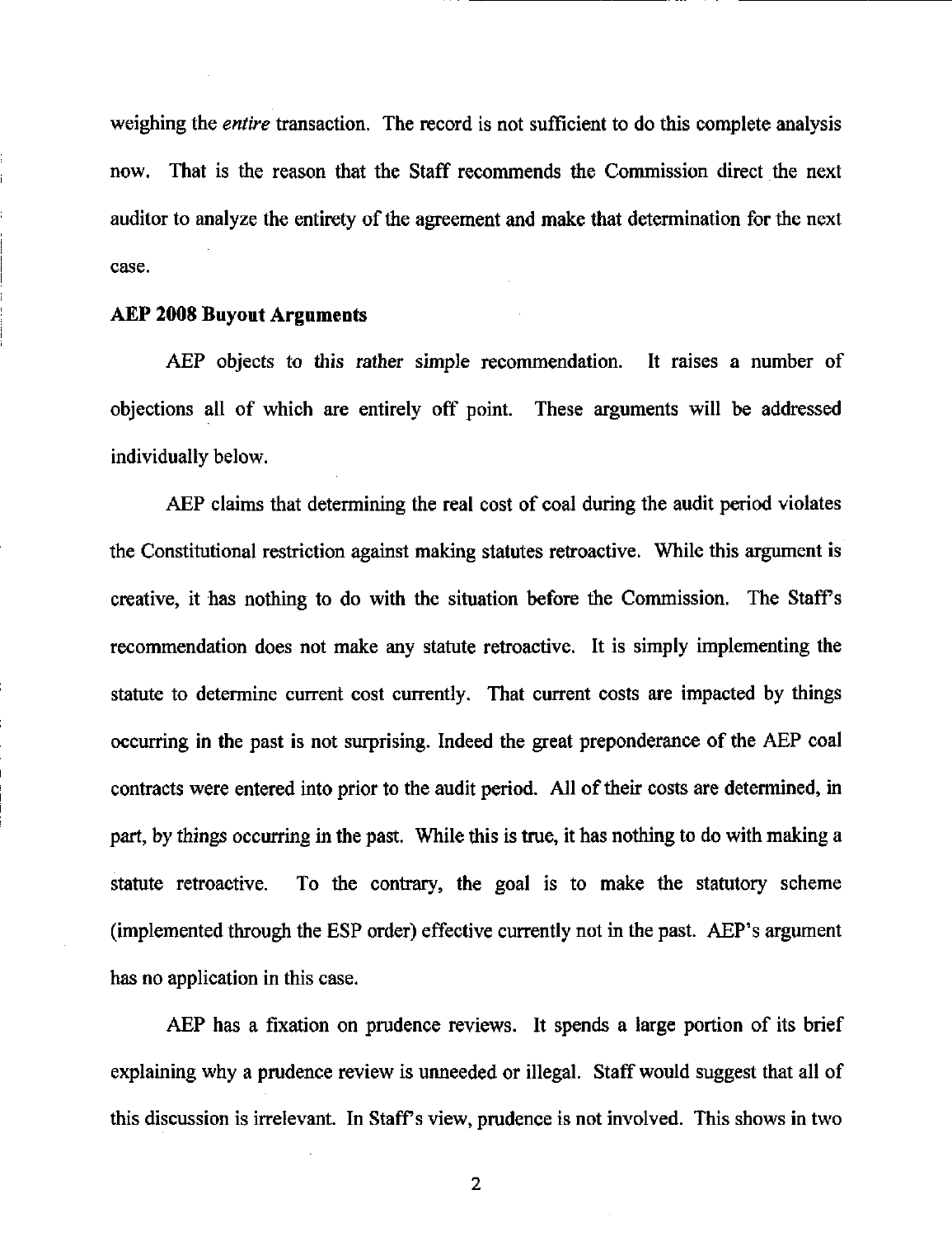weighing the *entire* transaction. The record is not sufficient to do this complete analysis now. That is the reason that the Staff recommends the Commission direct the next auditor to analyze the entirety of the agreement and make that determination for the next case.

## AEP 2008 Buyout Arguments

AEP objects to this rather simple recommendation. It raises a number of objections all of which are entirely off point. These arguments will be addressed individually below.

AEP claims that determining the real cost of coal during the audit period violates the Constitutional restriction against making statutes retroactive. While this argument is creative, it has nothing to do with the situation before the Commission. The Staffs recommendation does not make any statute retroactive. It is simply implementing the statute to determine current cost currently. That current costs are impacted by things occurring in the past is not surprising. Indeed the great preponderance of the AEP coal contracts were entered into prior to the audit period. All of their costs are determined, in part, by things occurring in the past. While this is true, it has nothing to do with making a statute retroactive. To the contrary, the goal is to make the statutory scheme (implemented through the ESP order) effective currently not in the past. AEP's argument has no application in this case.

AEP has a fixation on prudence reviews. It spends a large portion of its brief explaining why a prudence review is unneeded or illegal. Staff would suggest that all of this discussion is irrelevant. In Staff's view, prudence is not involved. This shows in two

 $\mathbf{2}$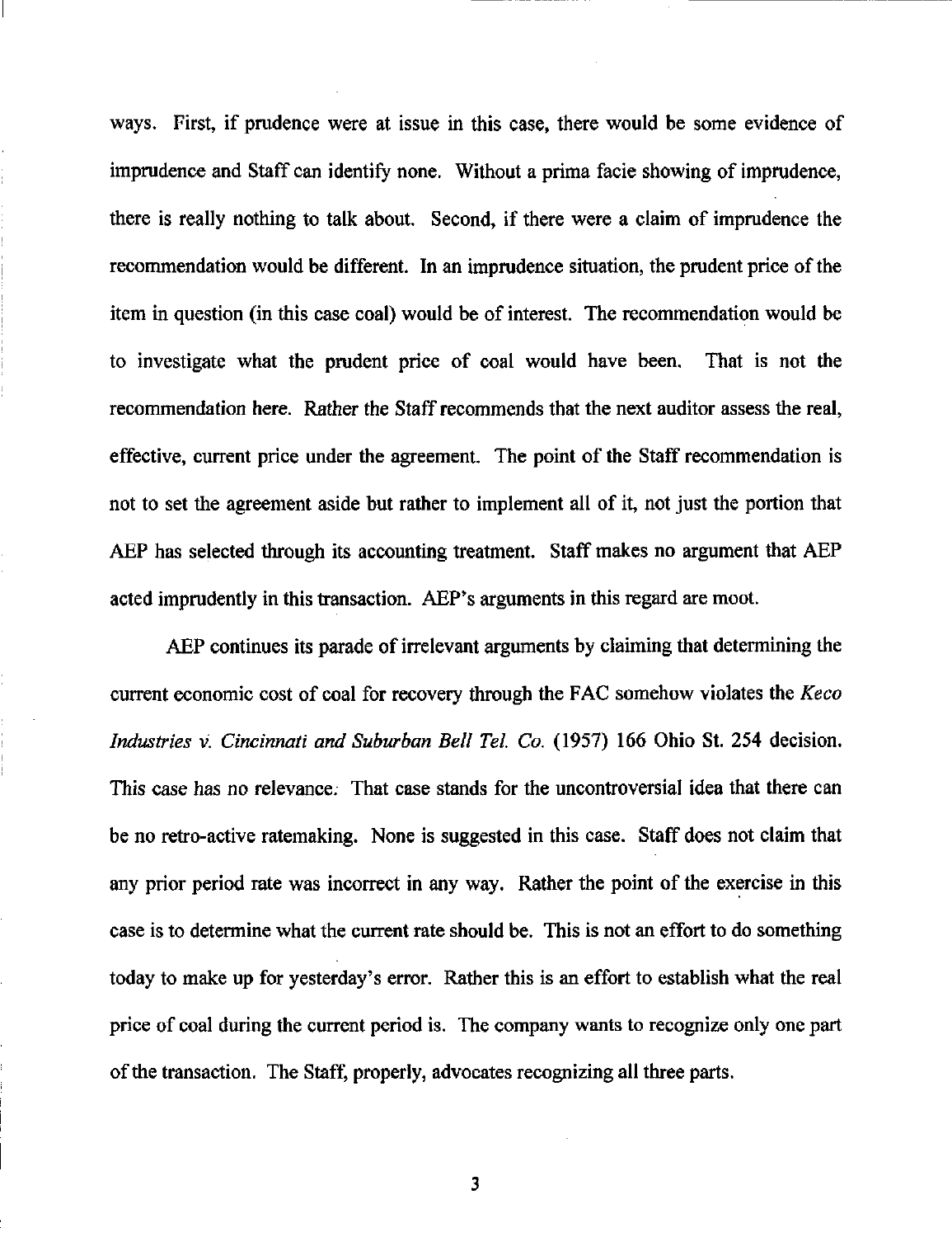ways. First, if prudence were at issue in this case, there would be some evidence of imprudence and Staff can identify none. Without a prima facie showing of imprudence, there is really nothing to talk about. Second, if there were a claim of imprudence the recommendation would be different. In an imprudence situation, the prudent price of the item in question (in this case coal) would be of interest. The recommendation would be to investigate what the prudent price of coal would have been. That is not the recommendation here. Rather the Staff recommends that the next auditor assess the real, effective, current price under the agreement. The point of the Staff recommendation is not to set the agreement aside but rather to implement all of it, not just the portion that AEP has selected through its accounting treatment. Staff makes no argument that AEP acted imprudently in this transaction. AEP's arguments in this regard are moot.

AEP continues its parade of irrelevant arguments by claiming that determining the current economic cost of coal for recovery through the FAC somehow violates the Keco Industries v. Cincinnati and Suburban Bell Tel. Co. (1957) 166 Ohio St. 254 decision. This case has no relevance. That case stands for the uncontroversial idea that there can be no retro-active ratemaking. None is suggested in this case. Staff does not claim that any prior period rate was incorrect in any way. Rather the point of the exercise in this case is to determine what the current rate should be. This is not an effort to do something today to make up for yesterday's error. Rather this is an effort to establish what the real price of coal during the current period is. The company wants to recognize only one part of the transaction. The Staff, properly, advocates recognizing all three parts.

3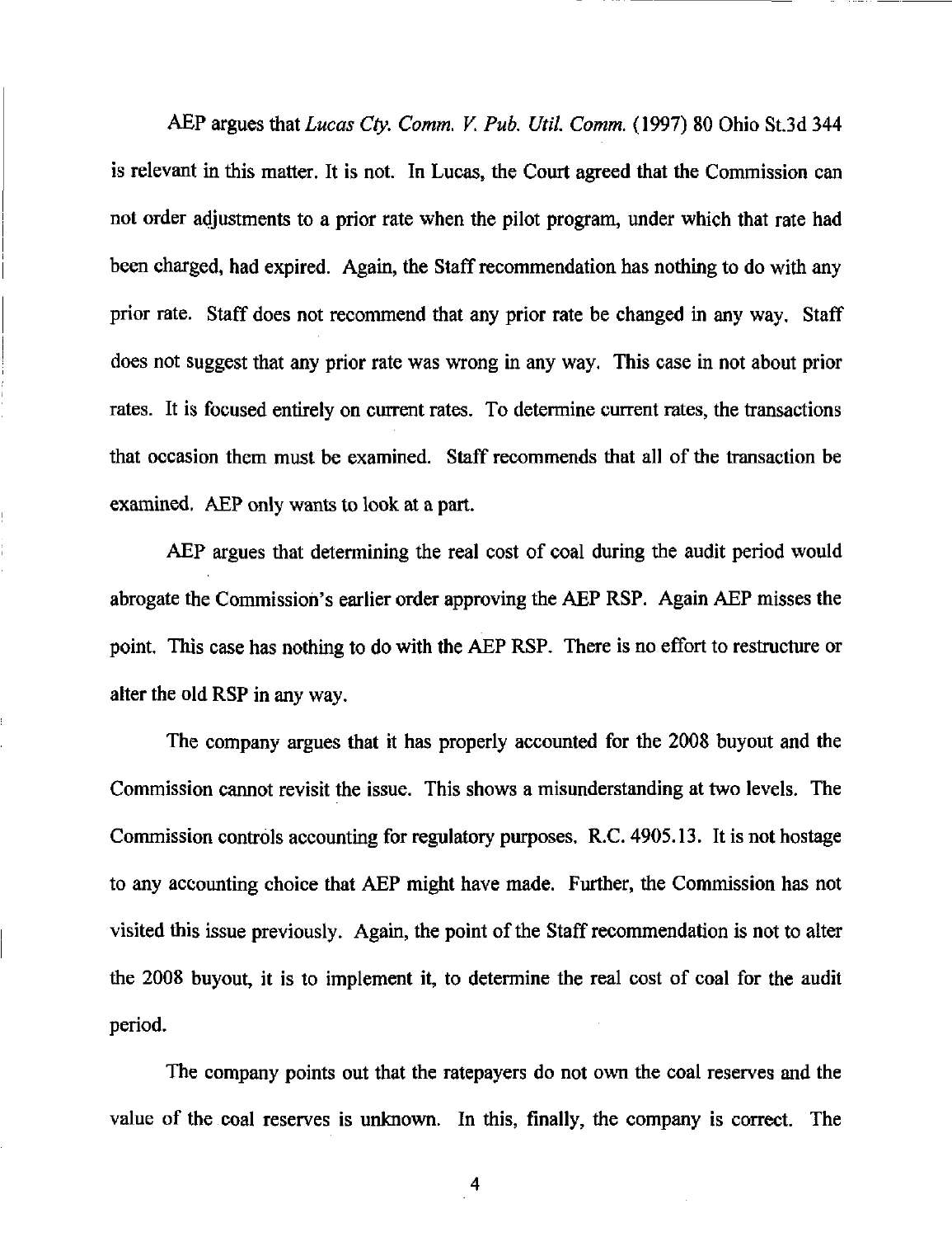AEP argues that Lucas Cty. Comm. V. Pub. Util. Comm. (1997) 80 Ohio St.3d 344 is relevant in this matter. It is not. In Lucas, the Court agreed that the Commission can not order adjustments to a prior rate when the pilot program, under which that rate had been charged, had expired. Again, the Staff recommendation has nothing to do with any prior rate. Staff does not recommend that any prior rate be changed in any way. Staff does not suggest that any prior rate was wrong in any way. This case in not about prior rates. It is focused entirely on current rates. To determine current rates, the transactions that occasion them must be examined. Staff recommends that all of the transaction be examined. AEP only wants to look at a part.

AEP argues that determining the real cost of coal during the audit period would abrogate the Commission's earlier order approving the AEP RSP. Again AEP misses the point. This case has nothing to do with the AEP RSP. There is no effort to restructure or alter the old RSP in any way.

The company argues that it has properly accounted for the 2008 buyout and the Commission cannot revisit the issue. This shows a misunderstanding at two levels. The Commission controls accounting for regulatory purposes. R.C. 4905.13. It is not hostage to any accounting choice that AEP might have made. Further, the Commission has not visited this issue previously. Again, the point of the Staff recommendation is not to aher the 2008 buyout, it is to implement it, to determine the real cost of coal for the audit period.

The company points out that the ratepayers do not own the coal reserves and the value of the coal reserves is unknown. In this, finally, the company is correct. The

4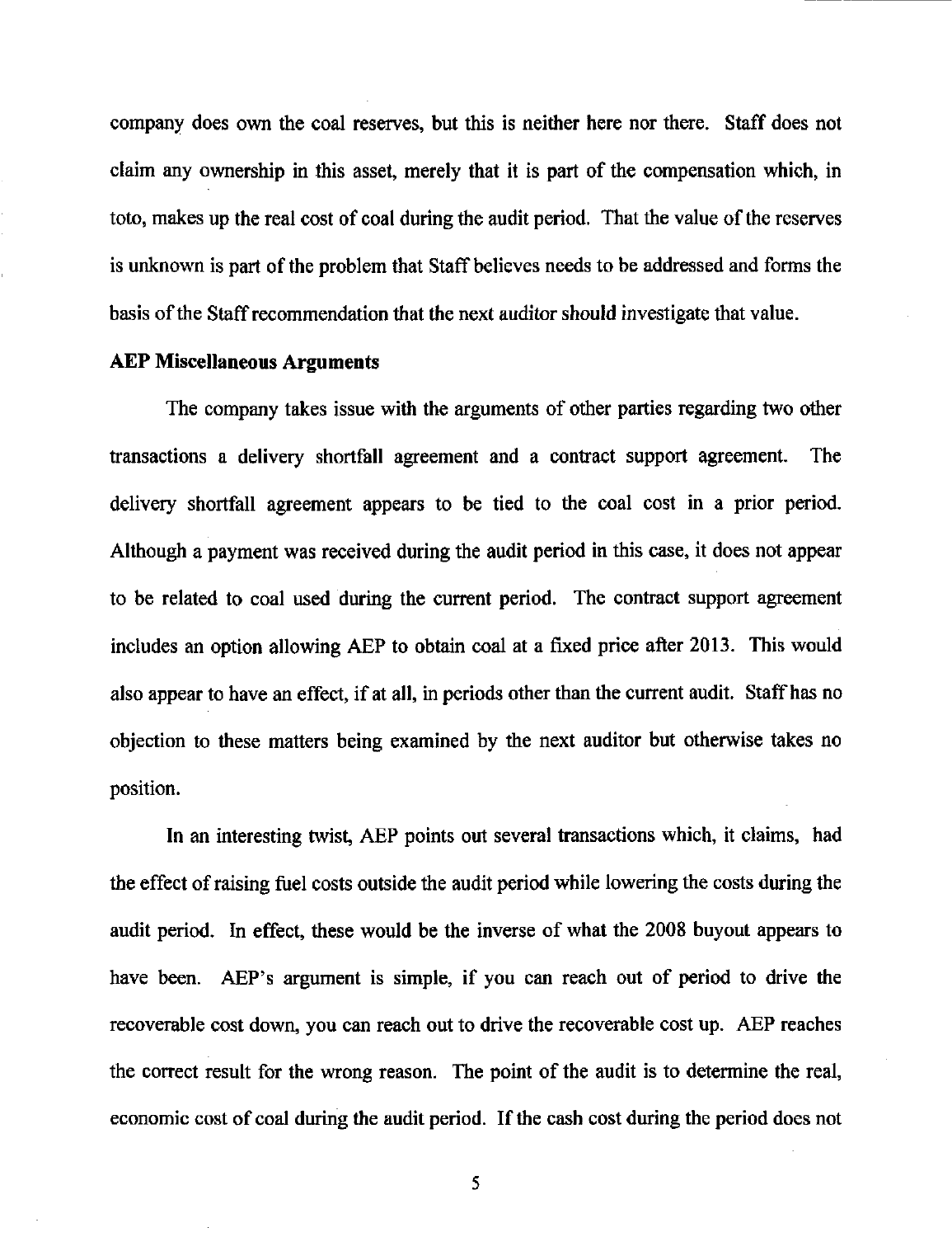company does own the coal reserves, but this is neither here nor there. Staff does not claim any ownership in this asset, merely that it is part of the compensation which, in toto, makes up the real cost of coal during the audit period. That the value of the reserves is unknown is part of the problem that Staff believes needs to be addressed and forms the basis of the Staff recommendation that the next auditor should investigate that value.

### AEP Miscellaneous Arguments

The company takes issue with the arguments of other parties regarding two other transactions a delivery shortfall agreement and a contract support agreement. The delivery shortfall agreement appears to be tied to the coal cost in a prior period. Although a payment was received during the audit period in this case, it does not appear to be related to coal used during the current period. The contract support agreement includes an option allowing AEP to obtain coal at a fixed price after 2013. This would also appear to have an effect, if at all, in periods other than the current audit. Staff has no objection to these matters being examined by the next auditor but otherwise takes no position.

In an interesting twist, AEP points out several transactions which, it claims, had the effect of raising fuel costs outside the audit period while lowering the costs during the audit period. In effect, these would be the inverse of what the 2008 buyout appears to have been. AEP's argument is simple, if you can reach out of period to drive the recoverable cost down, you can reach out to drive the recoverable cost up. AEP reaches the correct resuh for the wrong reason. The point of the audit is to determine the real, economic cost of coal during the audit period. If the cash cost during the period does not

5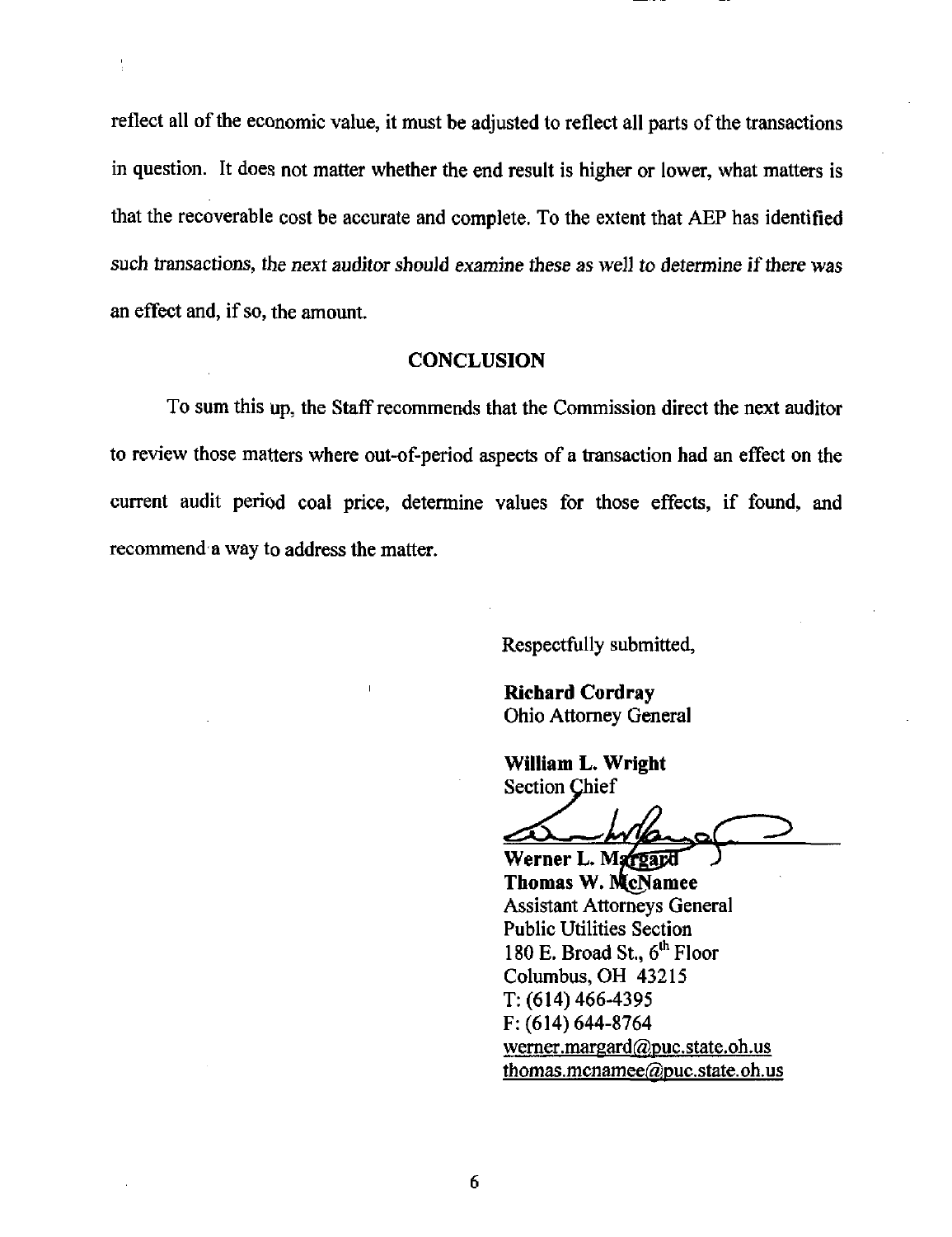reflect all of the economic value, it must be adjusted to reflect all parts of the transactions in question. It does not matter whether the end result is higher or lower, what matters is that the recoverable cost be accurate and complete. To the extent that AEP has identified such transactions, the next auditor should examine these as well to determine if there was an effect and, if so, the amount.

### **CONCLUSION**

To sum this up, the Staff recommends that the Commission direct the next auditor to review those matters where out-of-period aspects of a transaction had an effect on the current audit period coal price, determine values for those effects, if found, and recommend a way to address the matter.

Respectfully submitted,

Richard Cordray Ohio Attorney General

William L. Wright Section Chief

Werner L. Margard Thomas W. McNamee Assistant Attorneys General Public Utilities Section 180 E. Broad St., 6<sup>th</sup> Floor Columbus, OH 43215 T: (614) 466-4395 F: (614) 644-8764 werner.margard@puc.state.oh.us thomas.mcnamee@puc.state.oh.us